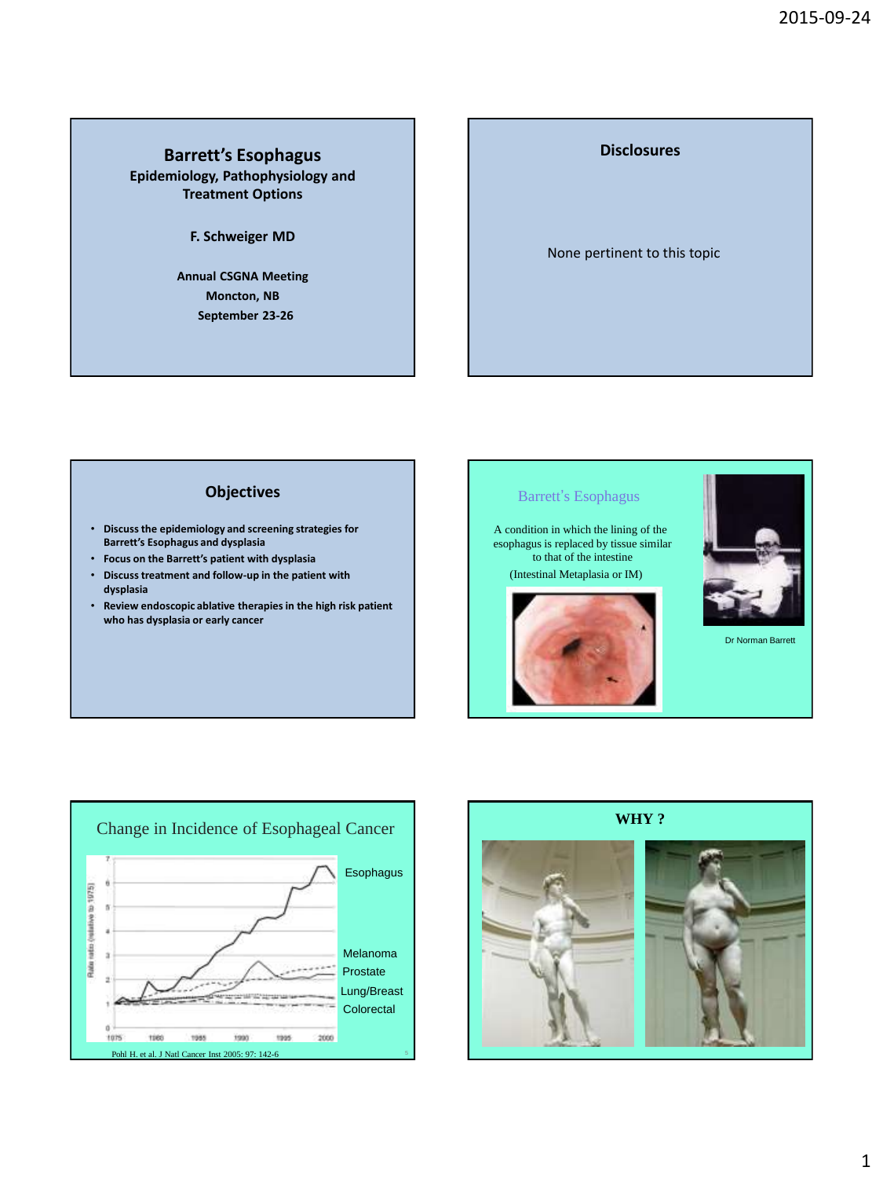#### **Barrett's Esophagus Epidemiology, Pathophysiology and Treatment Options**

**F. Schweiger MD**

**Annual CSGNA Meeting Moncton, NB September 23-26**

# **Disclosures** None pertinent to this topic

# **Objectives**

- **Discuss the epidemiology and screening strategies for Barrett's Esophagus and dysplasia**
- **Focus on the Barrett's patient with dysplasia**
- **Discuss treatment and follow-up in the patient with dysplasia**
- **Review endoscopic ablative therapies in the high risk patient who has dysplasia or early cancer**





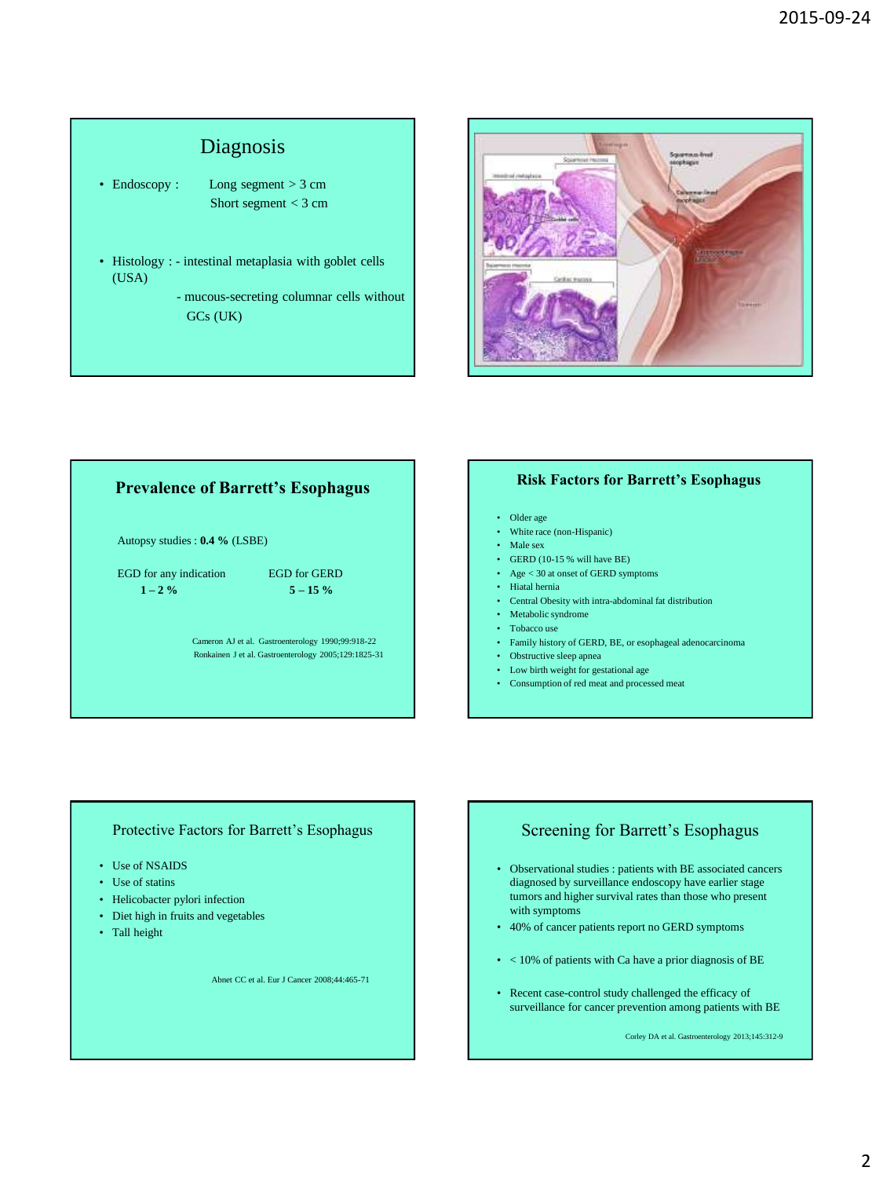# Diagnosis

- Endoscopy : Long segment > 3 cm Short segment < 3 cm
- Histology : intestinal metaplasia with goblet cells (USA)
	- mucous-secreting columnar cells without GCs (UK)



# **Prevalence of Barrett's Esophagus** Autopsy studies : **0.4 %** (LSBE) EGD for any indication EGD for GERD  $1 - 2\%$  5 – 15 % Cameron AJ et al. Gastroenterology 1990;99:918-22 Ronkainen J et al. Gastroenterology 2005;129:1825-31

#### **Risk Factors for Barrett's Esophagus**

- Older age
- White race (non-Hispanic)
- Male sex
- GERD (10-15 % will have BE)
- Age < 30 at onset of GERD symptoms
- Hiatal hernia
- Central Obesity with intra-abdominal fat distribution
- Metabolic syndrome
- Tobacco use
- Family history of GERD, BE, or esophageal adenocarcinoma
- Obstructive sleep apnea
- Low birth weight for gestational age
- Consumption of red meat and processed meat

#### Protective Factors for Barrett's Esophagus

- Use of NSAIDS
- Use of statins
- Helicobacter pylori infection
- Diet high in fruits and vegetables
- Tall height

Abnet CC et al. Eur J Cancer 2008;44:465-71

#### Screening for Barrett's Esophagus

- Observational studies : patients with BE associated cancers diagnosed by surveillance endoscopy have earlier stage tumors and higher survival rates than those who present with symptoms
- 40% of cancer patients report no GERD symptoms
- < 10% of patients with Ca have a prior diagnosis of BE
- Recent case-control study challenged the efficacy of surveillance for cancer prevention among patients with BE

Corley DA et al. Gastroenterology 2013;145:312-9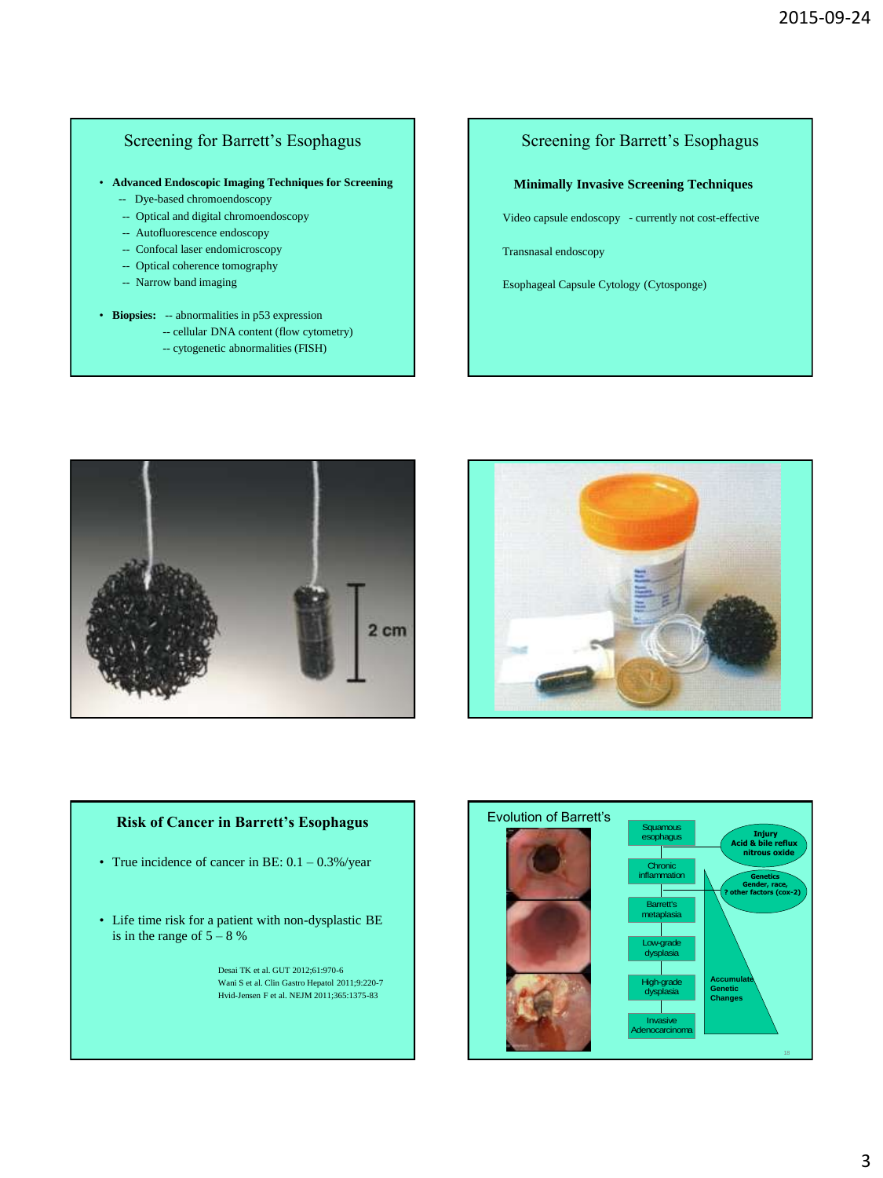# Screening for Barrett's Esophagus

• **Advanced Endoscopic Imaging Techniques for Screening**

- -- Dye-based chromoendoscopy
- -- Optical and digital chromoendoscopy
- -- Autofluorescence endoscopy
- -- Confocal laser endomicroscopy
- -- Optical coherence tomography
- -- Narrow band imaging
- **Biopsies:** -- abnormalities in p53 expression
	- -- cellular DNA content (flow cytometry)
		- -- cytogenetic abnormalities (FISH)

# Screening for Barrett's Esophagus

#### **Minimally Invasive Screening Techniques**

Video capsule endoscopy- currently not cost-effective

Transnasal endoscopy

Esophageal Capsule Cytology (Cytosponge)





#### **Risk of Cancer in Barrett's Esophagus**

- True incidence of cancer in BE:  $0.1 0.3\%$ /year
- Life time risk for a patient with non-dysplastic BE is in the range of  $5 - 8$ %

 Desai TK et al. GUT 2012;61:970-6 Wani S et al. Clin Gastro Hepatol 2011;9:220-7 Hvid-Jensen F et al. NEJM 2011;365:1375-83

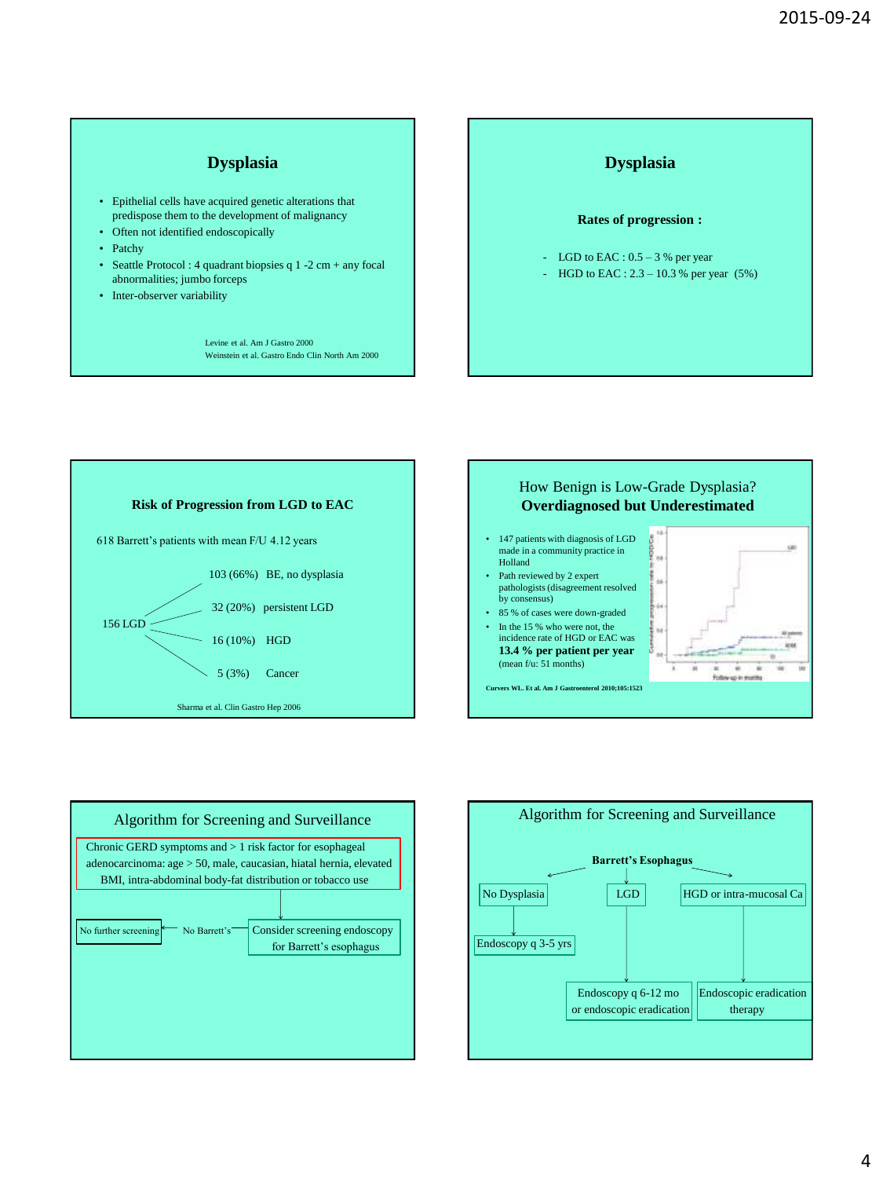#### **Dysplasia**

- Epithelial cells have acquired genetic alterations that predispose them to the development of malignancy
- Often not identified endoscopically
- Patchy
- Seattle Protocol : 4 quadrant biopsies q 1 -2 cm + any focal abnormalities; jumbo forceps
- Inter-observer variability

 Levine et al. Am J Gastro 2000 Weinstein et al. Gastro Endo Clin North Am 2000









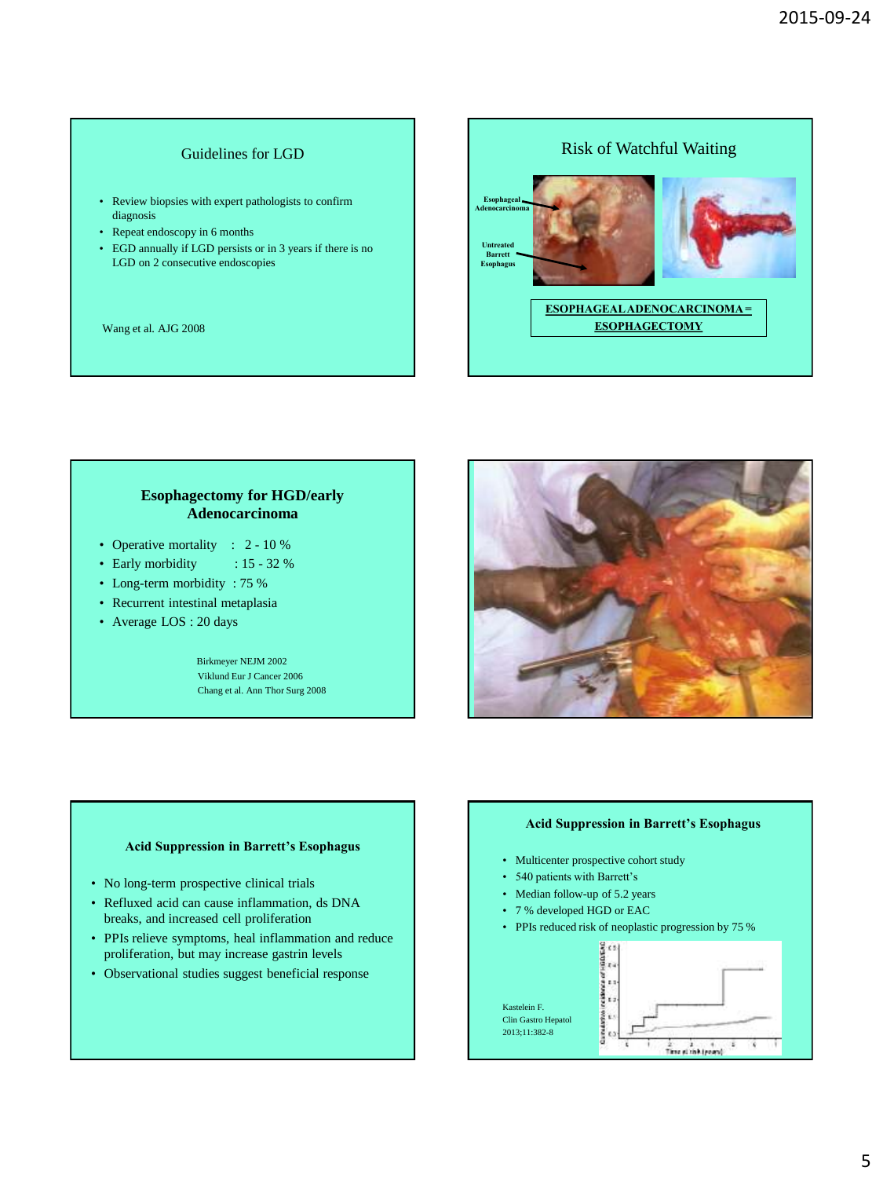#### Guidelines for LGD

- Review biopsies with expert pathologists to confirm diagnosis
- Repeat endoscopy in 6 months
- EGD annually if LGD persists or in 3 years if there is no LGD on 2 consecutive endoscopies

Wang et al. AJG 2008



#### **Esophagectomy for HGD/early Adenocarcinoma**

- Operative mortality : 2 10 %
- Early morbidity : 15 32 %
- Long-term morbidity : 75 %
- Recurrent intestinal metaplasia
- Average LOS : 20 days

 Birkmeyer NEJM 2002 Viklund Eur J Cancer 2006 Chang et al. Ann Thor Surg 2008



#### **Acid Suppression in Barrett's Esophagus**

- No long-term prospective clinical trials
- Refluxed acid can cause inflammation, ds DNA breaks, and increased cell proliferation
- PPIs relieve symptoms, heal inflammation and reduce proliferation, but may increase gastrin levels
- Observational studies suggest beneficial response

#### **Acid Suppression in Barrett's Esophagus**

- Multicenter prospective cohort study
- 540 patients with Barrett's
- Median follow-up of 5.2 years
- 7 % developed HGD or EAC
- PPIs reduced risk of neoplastic progression by 75 %

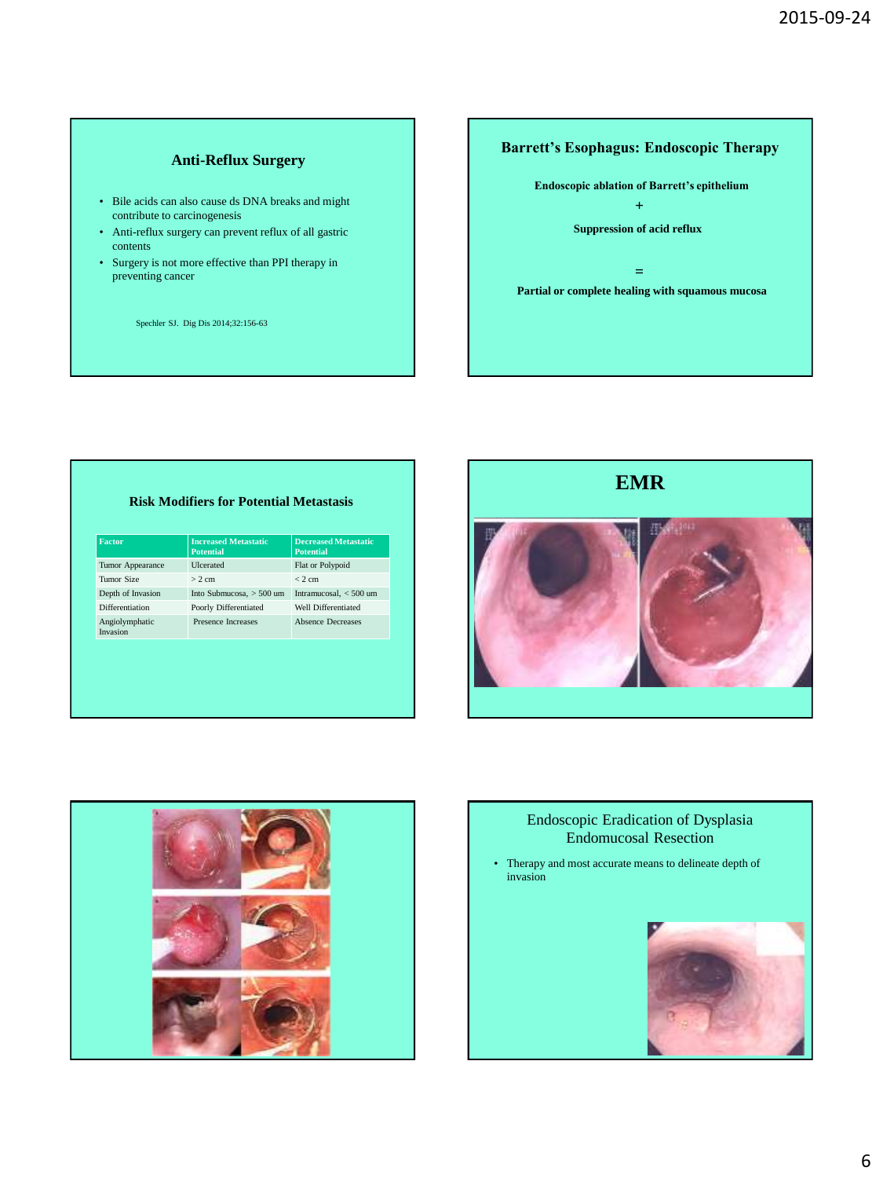#### **Anti-Reflux Surgery**

- Bile acids can also cause ds DNA breaks and might contribute to carcinogenesis
- Anti-reflux surgery can prevent reflux of all gastric contents
- Surgery is not more effective than PPI therapy in preventing cancer

Spechler SJ. Dig Dis 2014;32:156-63

### **Barrett's Esophagus: Endoscopic Therapy**



#### **Risk Modifiers for Potential Metastasis**

| <b>Factor</b>              | <b>Increased Metastatic</b><br><b>Potential</b> | <b>Decreased Metastatic</b><br><b>Potential</b> |
|----------------------------|-------------------------------------------------|-------------------------------------------------|
| Tumor Appearance           | <b>U</b> cerated                                | Flat or Polypoid                                |
| Tumor Size                 | $> 2$ cm                                        | $< 2$ cm                                        |
| Depth of Invasion          | Into Submucosa, > 500 um                        | Intramucosal. $<$ 500 um                        |
| Differentiation            | Poorly Differentiated                           | Well Differentiated                             |
| Angiolymphatic<br>Invasion | Presence Increases                              | <b>Absence Decreases</b>                        |





# Endoscopic Eradication of Dysplasia Endomucosal Resection

• Therapy and most accurate means to delineate depth of invasion

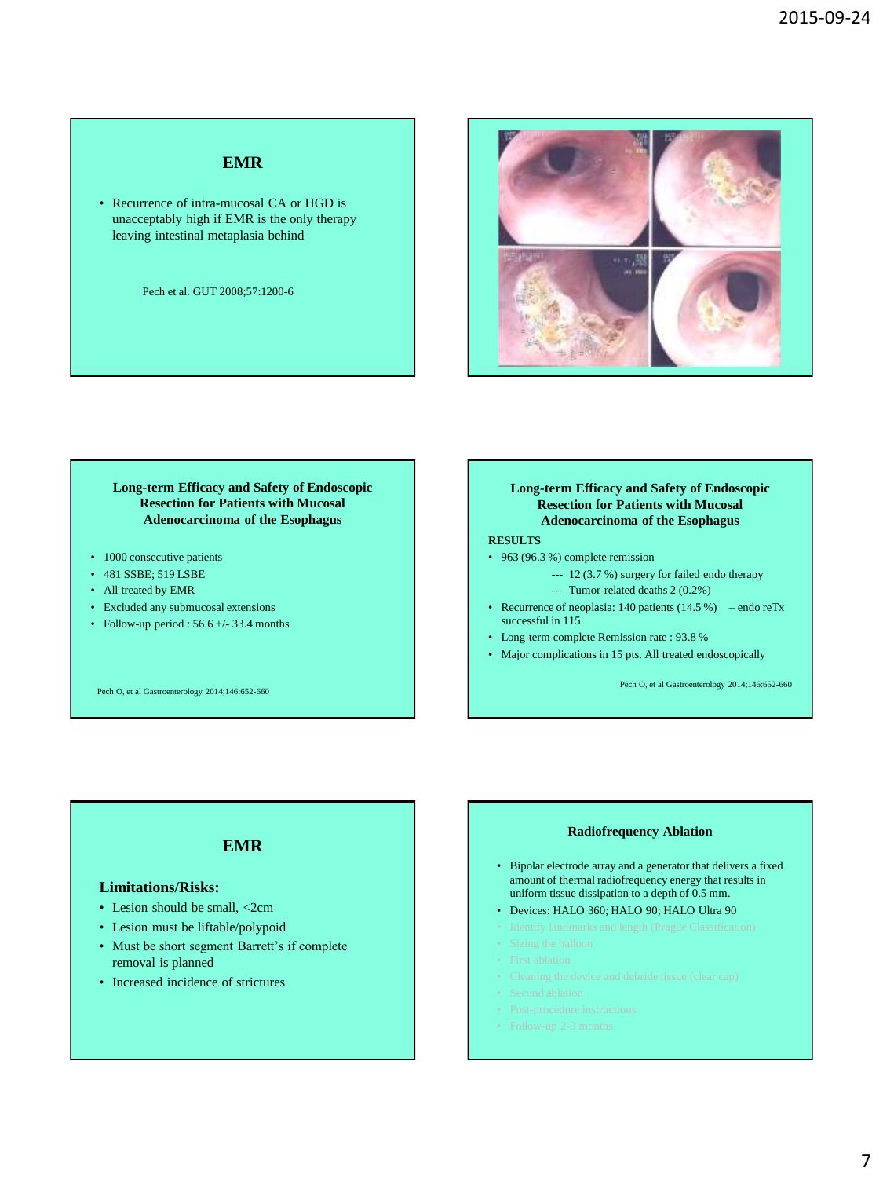## **EMR**

• Recurrence of intra-mucosal CA or HGD is unacceptably high if EMR is the only therapy leaving intestinal metaplasia behind

Pech et al. GUT 2008;57:1200-6



#### **Long-term Efficacy and Safety of Endoscopic Resection for Patients with Mucosal Adenocarcinoma of the Esophagus**

- 1000 consecutive patients
- 481 SSBE; 519 LSBE
- All treated by EMR
- Excluded any submucosal extensions
- Follow-up period :  $56.6 +/- 33.4$  months

Pech O, et al Gastroenterology 2014;146:652-660

**Long-term Efficacy and Safety of Endoscopic Resection for Patients with Mucosal Adenocarcinoma of the Esophagus**

#### **RESULTS**

- 963 (96.3 %) complete remission
	- --- 12 (3.7 %) surgery for failed endo therapy
	- --- Tumor-related deaths 2 (0.2%)
- Recurrence of neoplasia: 140 patients  $(14.5\%)$  endo reTx successful in 115
- Long-term complete Remission rate : 93.8 %
- Major complications in 15 pts. All treated endoscopically

Pech O, et al Gastroenterology 2014;146:652-660

#### **EMR**

#### **Limitations/Risks:**

- Lesion should be small,  $\langle 2cm \rangle$
- Lesion must be liftable/polypoid
- Must be short segment Barrett's if complete removal is planned
- Increased incidence of strictures

#### **Radiofrequency Ablation**

- Bipolar electrode array and a generator that delivers a fixed amount of thermal radiofrequency energy that results in uniform tissue dissipation to a depth of 0.5 mm.
- Devices: HALO 360; HALO 90; HALO Ultra 90
- 
- 
- 
- 
- 
- 
-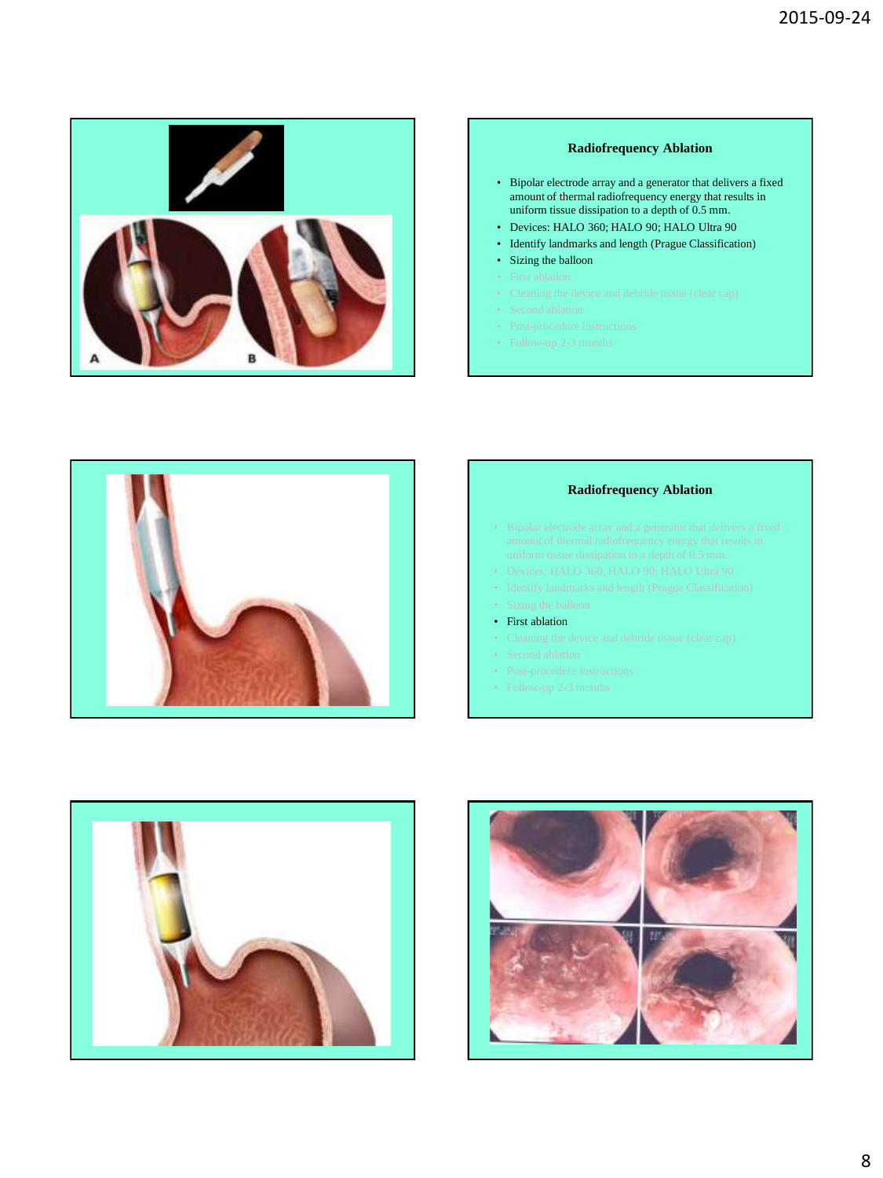

#### **Radiofrequency Ablation**

- Bipolar electrode array and a generator that delivers a fixed amount of thermal radiofrequency energy that results in uniform tissue dissipation to a depth of 0.5 mm.
- Devices: HALO 360; HALO 90; HALO Ultra 90
- Identify landmarks and length (Prague Classification)
- Sizing the balloon
- 
- 
- 
- 
- 



#### **Radiofrequency Ablation**

- 
- 
- 
- First ablation
- 
- 
- 
- 



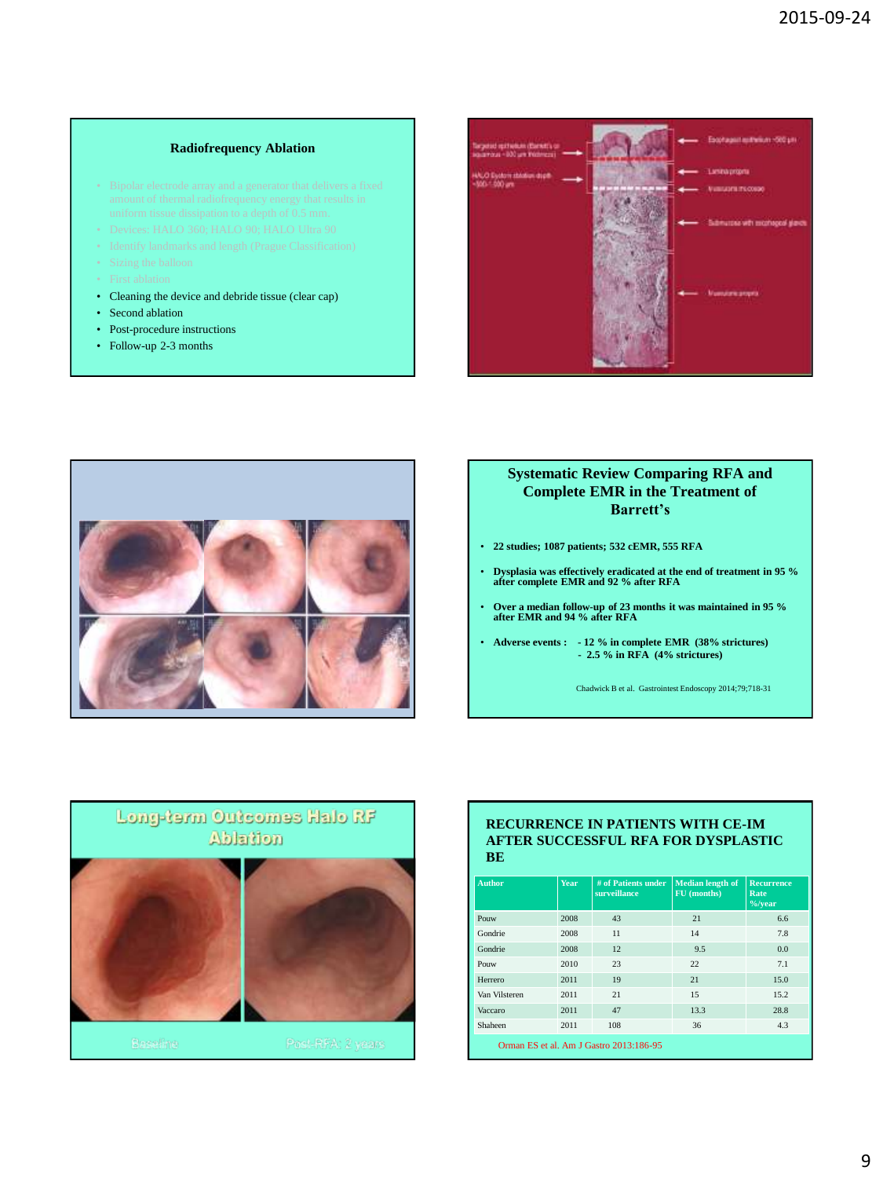#### **Radiofrequency Ablation**

- 
- 
- 
- 
- 
- Cleaning the device and debride tissue (clear cap)
- Second ablation
- Post-procedure instructions
- Follow-up 2-3 months





#### **Systematic Review Comparing RFA and Complete EMR in the Treatment of Barrett's**

- **22 studies; 1087 patients; 532 cEMR, 555 RFA**
- **Dysplasia was effectively eradicated at the end of treatment in 95 % after complete EMR and 92 % after RFA**
- **Over a median follow-up of 23 months it was maintained in 95 % after EMR and 94 % after RFA**
	- **Adverse events : - 12 % in complete EMR (38% strictures) - 2.5 % in RFA (4% strictures)**

Chadwick B et al. Gastrointest Endoscopy 2014;79;718-31



#### **RECURRENCE IN PATIENTS WITH CE-IM AFTER SUCCESSFUL RFA FOR DYSPLASTIC BE**

| <b>Author</b>                           | Year | # of Patients under<br>surveillance | <b>Median length of</b><br>FU (months) | <b>Recurrence</b><br>Rate<br>$\frac{9}{6}$ /year |  |
|-----------------------------------------|------|-------------------------------------|----------------------------------------|--------------------------------------------------|--|
| Pouw                                    | 2008 | 43                                  | 21                                     | 6.6                                              |  |
| Gondrie                                 | 2008 | 11                                  | 14                                     | 7.8                                              |  |
| Gondrie                                 | 2008 | 12                                  | 9.5                                    | 0.0                                              |  |
| Pouw                                    | 2010 | 23                                  | 22.                                    | 7.1                                              |  |
| Herrero                                 | 2011 | 19                                  | 21                                     | 15.0                                             |  |
| Van Vilsteren                           | 2011 | 2.1                                 | 15                                     | 15.2.                                            |  |
| Vaccaro                                 | 2011 | 47                                  | 13.3                                   | 28.8                                             |  |
| Shaheen                                 | 2011 | 108                                 | 36                                     | 4.3                                              |  |
| Orman ES et al. Am J Gastro 2013:186-95 |      |                                     |                                        |                                                  |  |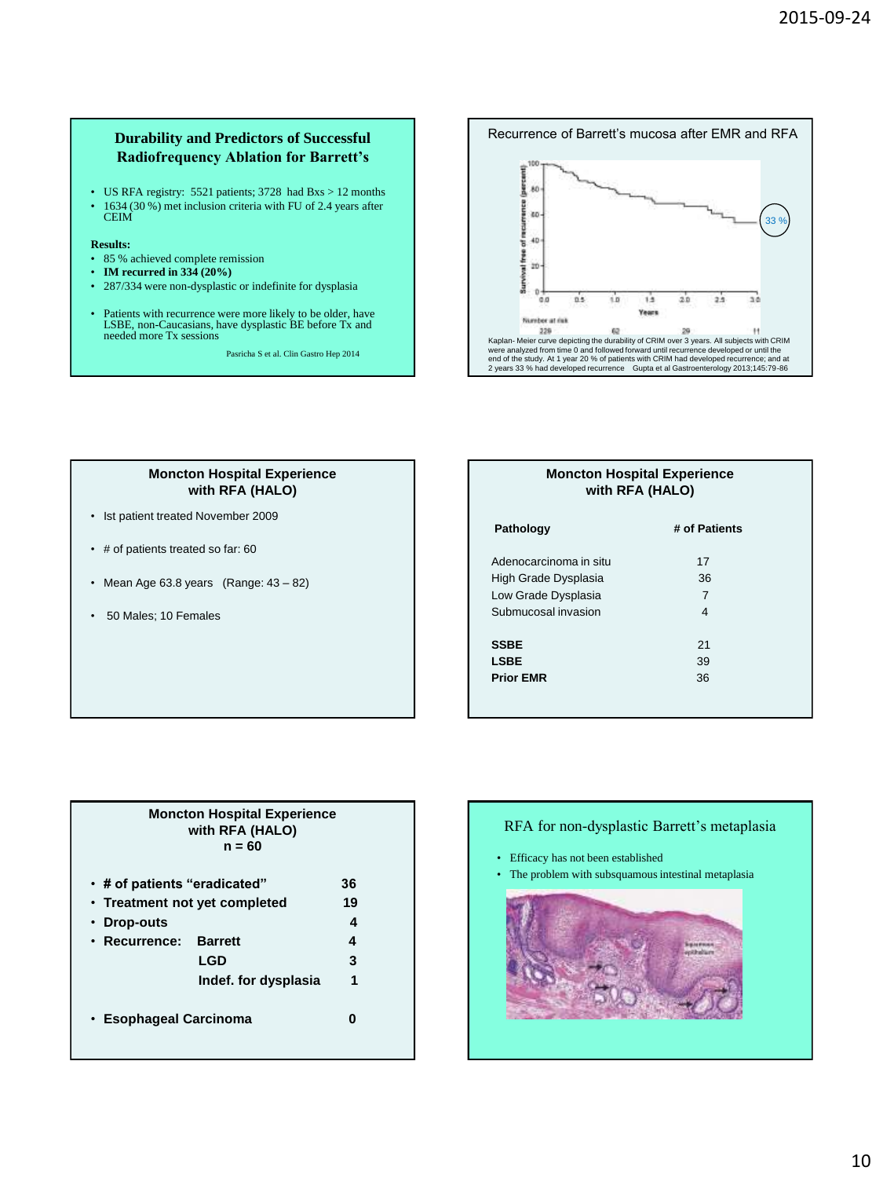#### **Durability and Predictors of Successful Radiofrequency Ablation for Barrett's**

• US RFA registry: 5521 patients; 3728 had Bxs > 12 months • 1634 (30 %) met inclusion criteria with FU of 2.4 years after CEIM

#### **Results:**

- 85 % achieved complete remission
- **IM recurred in 334 (20%)**
- 287/334 were non-dysplastic or indefinite for dysplasia
- Patients with recurrence were more likely to be older, have LSBE, non-Caucasians, have dysplastic BE before Tx and needed more Tx sessions

Pasricha S et al. Clin Gastro Hep 2014



#### **Moncton Hospital Experience with RFA (HALO)**

- Ist patient treated November 2009
- # of patients treated so far: 60
- Mean Age 63.8 years  $(Range: 43 82)$
- 50 Males; 10 Females

#### **Moncton Hospital Experience with RFA (HALO)**

| Pathology              | # of Patients |  |
|------------------------|---------------|--|
|                        |               |  |
| Adenocarcinoma in situ | 17            |  |
| High Grade Dysplasia   | 36            |  |
| Low Grade Dysplasia    | 7             |  |
| Submucosal invasion    | 4             |  |
|                        |               |  |
| <b>SSBE</b>            | 21            |  |
| <b>LSBE</b>            | 39            |  |
| <b>Prior EMR</b>       | 36            |  |
|                        |               |  |

#### **Moncton Hospital Experience with RFA (HALO) n = 60**

| • # of patients "eradicated"<br>• Treatment not yet completed<br>Drop-outs | 36<br>19<br>4                                 |             |
|----------------------------------------------------------------------------|-----------------------------------------------|-------------|
| • Recurrence:                                                              | <b>Barrett</b><br>LGD<br>Indef. for dysplasia | 4<br>3<br>1 |
| • Esophageal Carcinoma                                                     |                                               |             |

#### RFA for non-dysplastic Barrett's metaplasia

• Efficacy has not been established

• The problem with subsquamous intestinal metaplasia

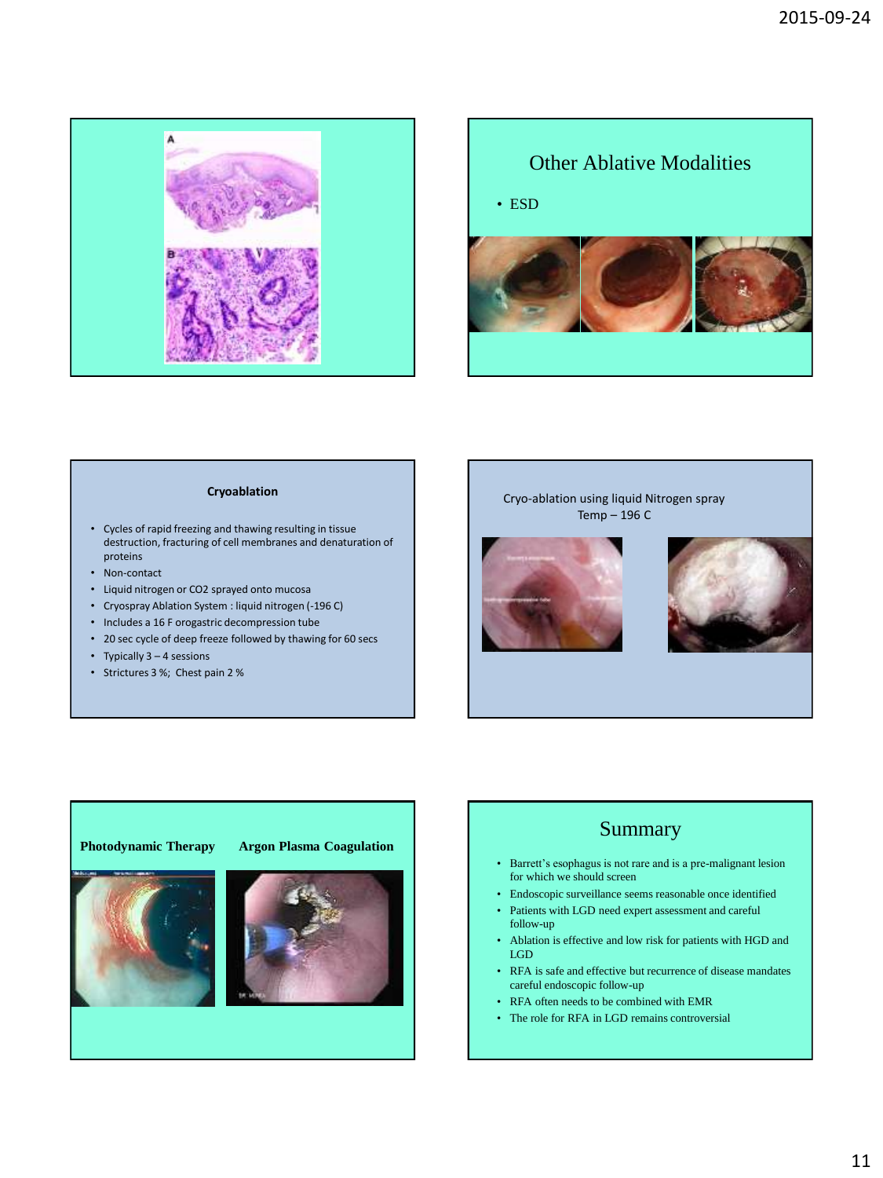



#### **Cryoablation**

- Cycles of rapid freezing and thawing resulting in tissue destruction, fracturing of cell membranes and denaturation of proteins
- Non-contact
- Liquid nitrogen or CO2 sprayed onto mucosa
- Cryospray Ablation System : liquid nitrogen (-196 C)
- Includes a 16 F orogastric decompression tube
- 20 sec cycle of deep freeze followed by thawing for 60 secs
- Typically 3 4 sessions
- Strictures 3 %; Chest pain 2 %

#### Cryo-ablation using liquid Nitrogen spray Temp – 196 C







# Summary

- Barrett's esophagus is not rare and is a pre-malignant lesion for which we should screen
- Endoscopic surveillance seems reasonable once identified
- Patients with LGD need expert assessment and careful follow-up
- Ablation is effective and low risk for patients with HGD and LGD
- RFA is safe and effective but recurrence of disease mandates careful endoscopic follow-up
- RFA often needs to be combined with EMR
- The role for RFA in LGD remains controversial